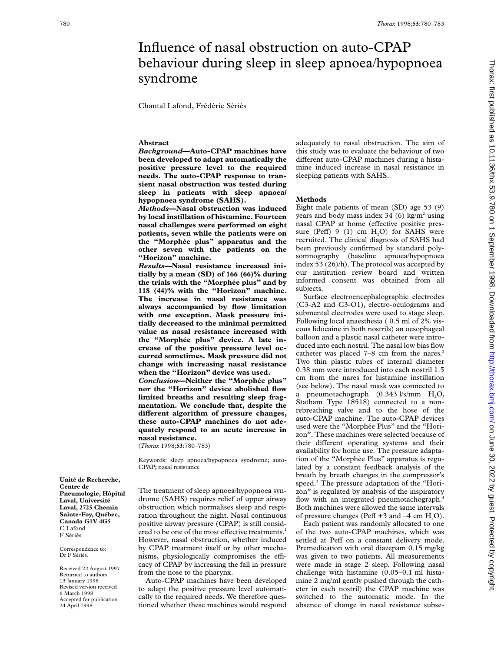# Influence of nasal obstruction on auto-CPAP behaviour during sleep in sleep apnoea/hypopnoea syndrome

Chantal Lafond, Frédéric Sériès

### **Abstract**

*Background***—Auto-CPAP machines have been developed to adapt automatically the positive pressure level to the required needs. The auto-CPAP response to transient nasal obstruction was tested during sleep in patients with sleep apnoea/ hypopnoea syndrome (SAHS).**

*Methods***—Nasal obstruction was induced by local instillation of histamine. Fourteen nasal challenges were performed on eight patients, seven while the patients were on the "Morphée plus" apparatus and the other seven with the patients on the "Horizon" machine.**

*Results***—Nasal resistance increased initially by a mean (SD) of 166 (66)% during the trials with the "Morphée plus" and by 118 (44)% with the "Horizon" machine. The increase in nasal resistance was always accompanied by flow limitation with one exception. Mask pressure initially decreased to the minimal permitted value as nasal resistance increased with the "Morphée plus" device. A late increase of the positive pressure level occurred sometimes. Mask pressure did not change with increasing nasal resistance when the "Horizon" device was used.** *Conclusion***—Neither the "Morphée plus" nor the "Horizon" device abolished flow limited breaths and resulting sleep fragmentation. We conclude that, despite the**

**diVerent algorithm of pressure changes, these auto-CPAP machines do not adequately respond to an acute increase in nasal resistance.** (*Thorax* 1998;**53**:780–783)

Keywords: sleep apnoea/hypopnoea syndrome; auto-CPAP; nasal resistance

The treatment of sleep apnoea/hypopnoea syndrome (SAHS) requires relief of upper airway obstruction which normalises sleep and respiration throughout the night. Nasal continuous positive airway pressure (CPAP) is still considered to be one of the most effective treatments.<sup>1</sup> However, nasal obstruction, whether induced by CPAP treatment itself or by other mechanisms, physiologically compromises the efficacy of CPAP by increasing the fall in pressure from the nose to the pharynx.

Auto-CPAP machines have been developed to adapt the positive pressure level automatically to the required needs. We therefore questioned whether these machines would respond adequately to nasal obstruction. The aim of this study was to evaluate the behaviour of two different auto-CPAP machines during a histamine induced increase in nasal resistance in sleeping patients with SAHS.

#### **Methods**

Eight male patients of mean (SD) age 53 (9) years and body mass index 34 (6) kg/m<sup>2</sup> using nasal CPAP at home (effective positive pressure (Peff)  $9(1)$  cm  $H<sub>2</sub>O$ ) for SAHS were recruited. The clinical diagnosis of SAHS had been previously confirmed by standard polysomnography (baseline apnoea/hypopnoea index 53 (26)/h). The protocol was accepted by our institution review board and written informed consent was obtained from all subjects.

Surface electroencephalographic electrodes (C3-A2 and C3-O1), electro-oculograms and submental electrodes were used to stage sleep. Following local anaesthesia ( 0.5 ml of 2% viscous lidocaine in both nostrils) an oesophageal balloon and a plastic nasal catheter were introduced into each nostril. The nasal low bias flow catheter was placed  $7-8$  cm from the nares.<sup>2</sup> Two thin plastic tubes of internal diameter 0.38 mm were introduced into each nostril 1.5 cm from the nares for histamine instillation (see below). The nasal mask was connected to a pneumotachograph (0.343 l/s/mm H<sub>2</sub>O, Statham Type 18518) connected to a nonrebreathing valve and to the hose of the auto-CPAP machine. The auto-CPAP devices used were the "Morphée Plus" and the "Horizon". These machines were selected because of their different operating systems and their availability for home use. The pressure adaptation of the "Morphée Plus" apparatus is regulated by a constant feedback analysis of the breath by breath changes in the compressor's speed.<sup>3</sup> The pressure adaptation of the "Horizon" is regulated by analysis of the inspiratory flow with an integrated pneumotachograph.<sup>4</sup> Both machines were allowed the same intervals of pressure changes (Peff  $+3$  and  $-4$  cm  $H<sub>2</sub>O$ ).

Each patient was randomly allocated to one of the two auto-CPAP machines, which was settled at Peff on a constant delivery mode. Premedication with oral diazepam 0.15 mg/kg was given to two patients. All measurements were made in stage 2 sleep. Following nasal challenge with histamine (0.05–0.1 ml histamine 2 mg/ml gently pushed through the catheter in each nostril) the CPAP machine was switched to the automatic mode. In the absence of change in nasal resistance subse-

**Centre de Pneumologie, Hôpital Laval, Université Laval, 2725 Chemin Sainte-Foy, Québec, Canada G1V 4G5** C Lafond F Sériès

**Unité de Recherche,**

Correspondence to: Dr F Sériès.

Received 22 August 1997 Returned to authors 13 January 1998 Revised version received 6 March 1998 Accepted for publication 24 April 1998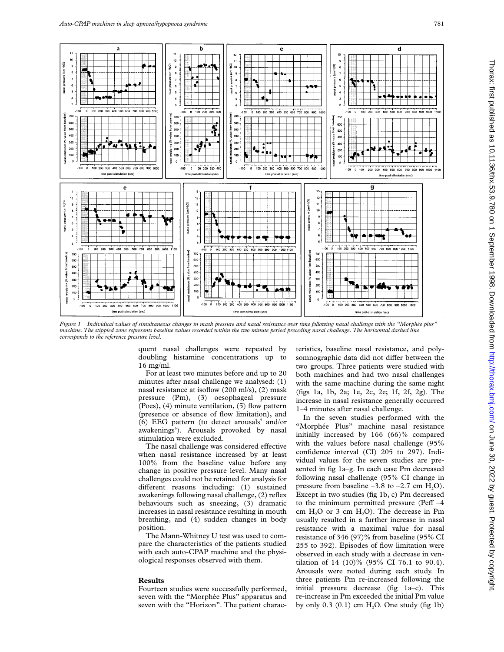

*Figure 1 Individual values of simultaneous changes in mask pressure and nasal resistance over time following nasal challenge with the "Morphée plus" machine. The stippled zone represents baseline values recorded within the two minute period preceding nasal challenge. The horizontal dashed line corresponds to the reference pressure level.*

quent nasal challenges were repeated by doubling histamine concentrations up to 16 mg/ml.

For at least two minutes before and up to 20 minutes after nasal challenge we analysed: (1) nasal resistance at isoflow (200 ml/s), (2) mask pressure (Pm), (3) oesophageal pressure (Poes), (4) minute ventilation, (5) flow pattern (presence or absence of flow limitation), and (6) EEG pattern (to detect arousals $5$  and/or awakenings<sup>6</sup>). Arousals provoked by nasal stimulation were excluded.

The nasal challenge was considered effective when nasal resistance increased by at least 100% from the baseline value before any change in positive pressure level. Many nasal challenges could not be retained for analysis for different reasons including: (1) sustained awakenings following nasal challenge, (2) reflex behaviours such as sneezing, (3) dramatic increases in nasal resistance resulting in mouth breathing, and (4) sudden changes in body position.

The Mann-Whitney U test was used to compare the characteristics of the patients studied with each auto-CPAP machine and the physiological responses observed with them.

## **Results**

Fourteen studies were successfully performed, seven with the "Morphée Plus" apparatus and seven with the "Horizon". The patient characteristics, baseline nasal resistance, and polysomnographic data did not differ between the two groups. Three patients were studied with both machines and had two nasal challenges with the same machine during the same night (figs 1a, 1b, 2a; 1e, 2c, 2e; 1f, 2f, 2g). The increase in nasal resistance generally occurred 1–4 minutes after nasal challenge.

In the seven studies performed with the "Morphée Plus" machine nasal resistance initially increased by 166 (66)% compared with the values before nasal challenge (95% confidence interval (CI) 205 to 297). Individual values for the seven studies are presented in fig 1a–g. In each case Pm decreased following nasal challenge (95% CI change in pressure from baseline  $-3.8$  to  $-2.7$  cm H<sub>2</sub>O). Except in two studies (fig 1b, c) Pm decreased to the minimum permitted pressure (Peff  $-4$ cm  $H<sub>2</sub>O$  or 3 cm  $H<sub>2</sub>O$ ). The decrease in Pm usually resulted in a further increase in nasal resistance with a maximal value for nasal resistance of 346 (97)% from baseline (95% CI 255 to 392). Episodes of flow limitation were observed in each study with a decrease in ventilation of 14 (10)% (95% CI 76.1 to 90.4). Arousals were noted during each study. In three patients Pm re-increased following the initial pressure decrease (fig 1a–c). This re-increase in Pm exceeded the initial Pm value by only  $0.3$   $(0.1)$  cm  $H<sub>2</sub>O$ . One study (fig 1b)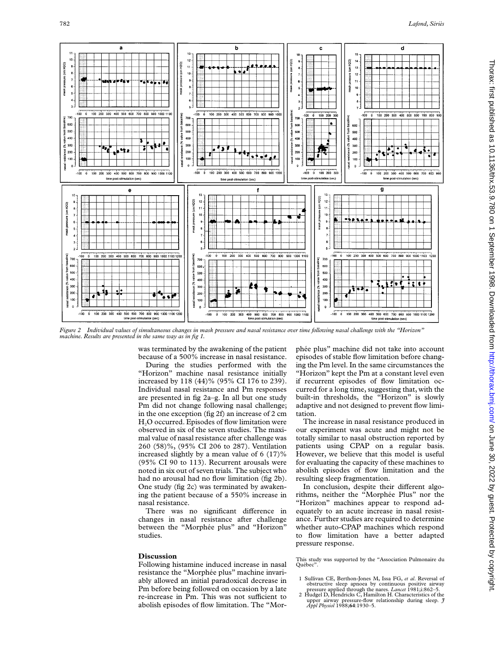

*Figure 2 Individual values of simultaneous changes in mask pressure and nasal resistance over time following nasal challenge with the "Horizon" machine. Results are presented in the same way as in fig 1.*

was terminated by the awakening of the patient because of a 500% increase in nasal resistance.

During the studies performed with the "Horizon" machine nasal resistance initially increased by 118 (44)% (95% CI 176 to 239). Individual nasal resistance and Pm responses are presented in fig 2a–g. In all but one study Pm did not change following nasal challenge; in the one exception (fig 2f) an increase of 2 cm H<sub>2</sub>O occurred. Episodes of flow limitation were observed in six of the seven studies. The maximal value of nasal resistance after challenge was 260 (58)%, (95% CI 206 to 287). Ventilation increased slightly by a mean value of 6 (17)% (95% CI 90 to 113). Recurrent arousals were noted in six out of seven trials. The subject who had no arousal had no flow limitation (fig 2b). One study (fig 2c) was terminated by awakening the patient because of a 550% increase in nasal resistance.

There was no significant difference in changes in nasal resistance after challenge between the "Morphée plus" and "Horizon" studies.

## **Discussion**

Following histamine induced increase in nasal resistance the "Morphée plus" machine invariably allowed an initial paradoxical decrease in Pm before being followed on occasion by a late re-increase in Pm. This was not sufficient to abolish episodes of flow limitation. The "Morphée plus" machine did not take into account episodes of stable flow limitation before changing the Pm level. In the same circumstances the "Horizon" kept the Pm at a constant level even if recurrent episodes of flow limitation occurred for a long time, suggesting that, with the built-in thresholds, the "Horizon" is slowly adaptive and not designed to prevent flow limitation.

The increase in nasal resistance produced in our experiment was acute and might not be totally similar to nasal obstruction reported by patients using CPAP on a regular basis. However, we believe that this model is useful for evaluating the capacity of these machines to abolish episodes of flow limitation and the resulting sleep fragmentation.

In conclusion, despite their different algorithms, neither the "Morphée Plus" nor the "Horizon" machines appear to respond adequately to an acute increase in nasal resistance. Further studies are required to determine whether auto-CPAP machines which respond to flow limitation have a better adapted pressure response.

This study was supported by the "Association Pulmonaire du Ouébec"

pressure applied through the nares. *Lancet* 1981;i:862–5. 2 Hudgel D, Hendricks C, Hamilton H. Characteristics of the upper airway pressure-flow relationship during sleep. *J Appl Physiol* 1988;**64**:1930–5.

<sup>1</sup> Sullivan CE, Berthon-Jones M, Issa FG, *et al*. Reversal of obstructive sleep apnoea by continuous positive airway